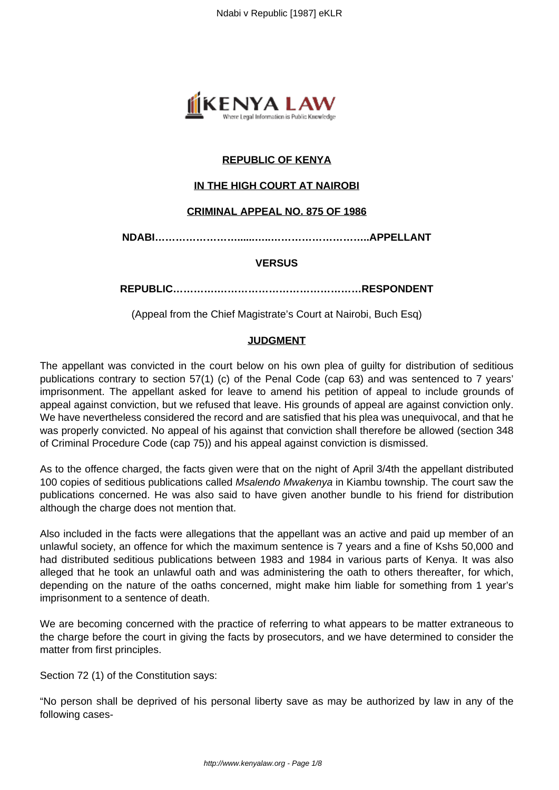

# **REPUBLIC OF KENYA**

# **IN THE HIGH COURT AT NAIROBI**

## **CRIMINAL APPEAL NO. 875 OF 1986**

**NDABI……………………......…..………………………..APPELLANT**

#### **VERSUS**

**REPUBLIC………….……………………………………RESPONDENT**

(Appeal from the Chief Magistrate's Court at Nairobi, Buch Esq)

### **JUDGMENT**

The appellant was convicted in the court below on his own plea of guilty for distribution of seditious publications contrary to section 57(1) (c) of the Penal Code (cap 63) and was sentenced to 7 years' imprisonment. The appellant asked for leave to amend his petition of appeal to include grounds of appeal against conviction, but we refused that leave. His grounds of appeal are against conviction only. We have nevertheless considered the record and are satisfied that his plea was unequivocal, and that he was properly convicted. No appeal of his against that conviction shall therefore be allowed (section 348 of Criminal Procedure Code (cap 75)) and his appeal against conviction is dismissed.

As to the offence charged, the facts given were that on the night of April 3/4th the appellant distributed 100 copies of seditious publications called Msalendo Mwakenya in Kiambu township. The court saw the publications concerned. He was also said to have given another bundle to his friend for distribution although the charge does not mention that.

Also included in the facts were allegations that the appellant was an active and paid up member of an unlawful society, an offence for which the maximum sentence is 7 years and a fine of Kshs 50,000 and had distributed seditious publications between 1983 and 1984 in various parts of Kenya. It was also alleged that he took an unlawful oath and was administering the oath to others thereafter, for which, depending on the nature of the oaths concerned, might make him liable for something from 1 year's imprisonment to a sentence of death.

We are becoming concerned with the practice of referring to what appears to be matter extraneous to the charge before the court in giving the facts by prosecutors, and we have determined to consider the matter from first principles.

Section 72 (1) of the Constitution says:

"No person shall be deprived of his personal liberty save as may be authorized by law in any of the following cases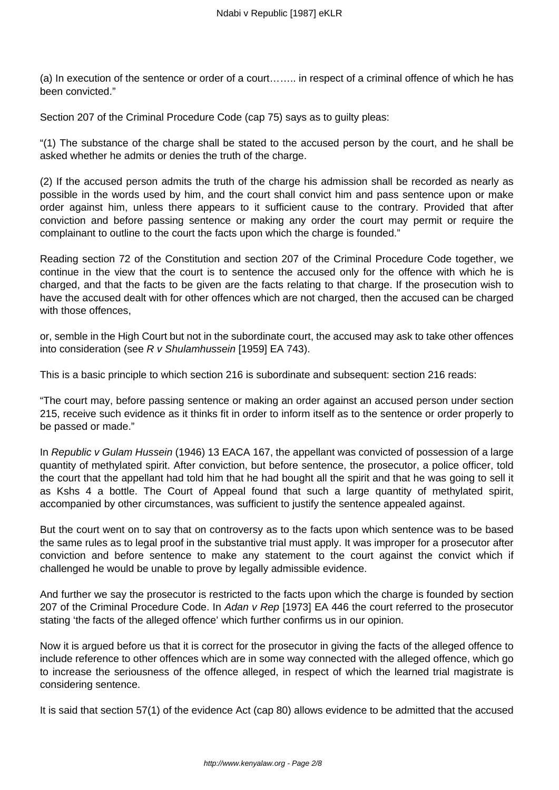(a) In execution of the sentence or order of a court…….. in respect of a criminal offence of which he has been convicted."

Section 207 of the Criminal Procedure Code (cap 75) says as to guilty pleas:

"(1) The substance of the charge shall be stated to the accused person by the court, and he shall be asked whether he admits or denies the truth of the charge.

(2) If the accused person admits the truth of the charge his admission shall be recorded as nearly as possible in the words used by him, and the court shall convict him and pass sentence upon or make order against him, unless there appears to it sufficient cause to the contrary. Provided that after conviction and before passing sentence or making any order the court may permit or require the complainant to outline to the court the facts upon which the charge is founded."

Reading section 72 of the Constitution and section 207 of the Criminal Procedure Code together, we continue in the view that the court is to sentence the accused only for the offence with which he is charged, and that the facts to be given are the facts relating to that charge. If the prosecution wish to have the accused dealt with for other offences which are not charged, then the accused can be charged with those offences,

or, semble in the High Court but not in the subordinate court, the accused may ask to take other offences into consideration (see R v Shulamhussein [1959] EA 743).

This is a basic principle to which section 216 is subordinate and subsequent: section 216 reads:

"The court may, before passing sentence or making an order against an accused person under section 215, receive such evidence as it thinks fit in order to inform itself as to the sentence or order properly to be passed or made."

In Republic v Gulam Hussein (1946) 13 EACA 167, the appellant was convicted of possession of a large quantity of methylated spirit. After conviction, but before sentence, the prosecutor, a police officer, told the court that the appellant had told him that he had bought all the spirit and that he was going to sell it as Kshs 4 a bottle. The Court of Appeal found that such a large quantity of methylated spirit, accompanied by other circumstances, was sufficient to justify the sentence appealed against.

But the court went on to say that on controversy as to the facts upon which sentence was to be based the same rules as to legal proof in the substantive trial must apply. It was improper for a prosecutor after conviction and before sentence to make any statement to the court against the convict which if challenged he would be unable to prove by legally admissible evidence.

And further we say the prosecutor is restricted to the facts upon which the charge is founded by section 207 of the Criminal Procedure Code. In Adan v Rep [1973] EA 446 the court referred to the prosecutor stating 'the facts of the alleged offence' which further confirms us in our opinion.

Now it is argued before us that it is correct for the prosecutor in giving the facts of the alleged offence to include reference to other offences which are in some way connected with the alleged offence, which go to increase the seriousness of the offence alleged, in respect of which the learned trial magistrate is considering sentence.

It is said that section 57(1) of the evidence Act (cap 80) allows evidence to be admitted that the accused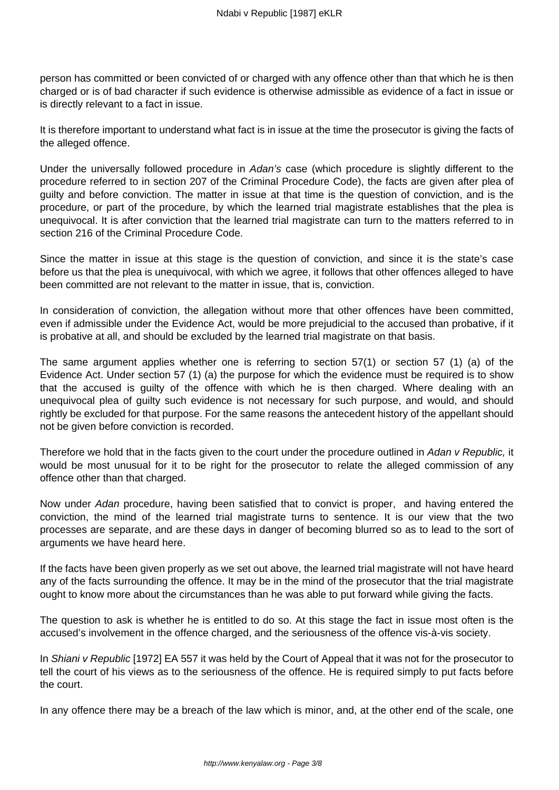person has committed or been convicted of or charged with any offence other than that which he is then charged or is of bad character if such evidence is otherwise admissible as evidence of a fact in issue or is directly relevant to a fact in issue.

It is therefore important to understand what fact is in issue at the time the prosecutor is giving the facts of the alleged offence.

Under the universally followed procedure in Adan's case (which procedure is slightly different to the procedure referred to in section 207 of the Criminal Procedure Code), the facts are given after plea of guilty and before conviction. The matter in issue at that time is the question of conviction, and is the procedure, or part of the procedure, by which the learned trial magistrate establishes that the plea is unequivocal. It is after conviction that the learned trial magistrate can turn to the matters referred to in section 216 of the Criminal Procedure Code.

Since the matter in issue at this stage is the question of conviction, and since it is the state's case before us that the plea is unequivocal, with which we agree, it follows that other offences alleged to have been committed are not relevant to the matter in issue, that is, conviction.

In consideration of conviction, the allegation without more that other offences have been committed, even if admissible under the Evidence Act, would be more prejudicial to the accused than probative, if it is probative at all, and should be excluded by the learned trial magistrate on that basis.

The same argument applies whether one is referring to section 57(1) or section 57 (1) (a) of the Evidence Act. Under section 57 (1) (a) the purpose for which the evidence must be required is to show that the accused is guilty of the offence with which he is then charged. Where dealing with an unequivocal plea of guilty such evidence is not necessary for such purpose, and would, and should rightly be excluded for that purpose. For the same reasons the antecedent history of the appellant should not be given before conviction is recorded.

Therefore we hold that in the facts given to the court under the procedure outlined in Adan v Republic, it would be most unusual for it to be right for the prosecutor to relate the alleged commission of any offence other than that charged.

Now under Adan procedure, having been satisfied that to convict is proper, and having entered the conviction, the mind of the learned trial magistrate turns to sentence. It is our view that the two processes are separate, and are these days in danger of becoming blurred so as to lead to the sort of arguments we have heard here.

If the facts have been given properly as we set out above, the learned trial magistrate will not have heard any of the facts surrounding the offence. It may be in the mind of the prosecutor that the trial magistrate ought to know more about the circumstances than he was able to put forward while giving the facts.

The question to ask is whether he is entitled to do so. At this stage the fact in issue most often is the accused's involvement in the offence charged, and the seriousness of the offence vis-à-vis society.

In Shiani v Republic [1972] EA 557 it was held by the Court of Appeal that it was not for the prosecutor to tell the court of his views as to the seriousness of the offence. He is required simply to put facts before the court.

In any offence there may be a breach of the law which is minor, and, at the other end of the scale, one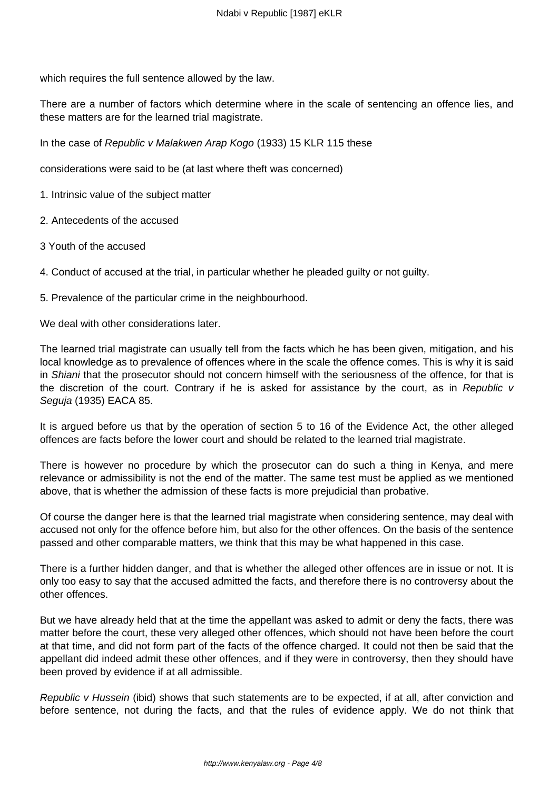which requires the full sentence allowed by the law.

There are a number of factors which determine where in the scale of sentencing an offence lies, and these matters are for the learned trial magistrate.

In the case of Republic v Malakwen Arap Kogo (1933) 15 KLR 115 these

considerations were said to be (at last where theft was concerned)

1. Intrinsic value of the subject matter

- 2. Antecedents of the accused
- 3 Youth of the accused

4. Conduct of accused at the trial, in particular whether he pleaded guilty or not guilty.

5. Prevalence of the particular crime in the neighbourhood.

We deal with other considerations later.

The learned trial magistrate can usually tell from the facts which he has been given, mitigation, and his local knowledge as to prevalence of offences where in the scale the offence comes. This is why it is said in Shiani that the prosecutor should not concern himself with the seriousness of the offence, for that is the discretion of the court. Contrary if he is asked for assistance by the court, as in Republic v Seguja (1935) EACA 85.

It is argued before us that by the operation of section 5 to 16 of the Evidence Act, the other alleged offences are facts before the lower court and should be related to the learned trial magistrate.

There is however no procedure by which the prosecutor can do such a thing in Kenya, and mere relevance or admissibility is not the end of the matter. The same test must be applied as we mentioned above, that is whether the admission of these facts is more prejudicial than probative.

Of course the danger here is that the learned trial magistrate when considering sentence, may deal with accused not only for the offence before him, but also for the other offences. On the basis of the sentence passed and other comparable matters, we think that this may be what happened in this case.

There is a further hidden danger, and that is whether the alleged other offences are in issue or not. It is only too easy to say that the accused admitted the facts, and therefore there is no controversy about the other offences.

But we have already held that at the time the appellant was asked to admit or deny the facts, there was matter before the court, these very alleged other offences, which should not have been before the court at that time, and did not form part of the facts of the offence charged. It could not then be said that the appellant did indeed admit these other offences, and if they were in controversy, then they should have been proved by evidence if at all admissible.

Republic v Hussein (ibid) shows that such statements are to be expected, if at all, after conviction and before sentence, not during the facts, and that the rules of evidence apply. We do not think that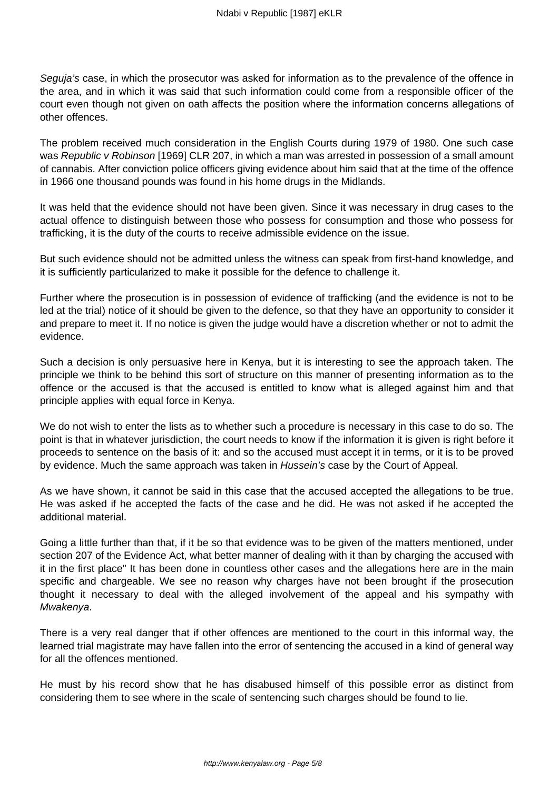Seguja's case, in which the prosecutor was asked for information as to the prevalence of the offence in the area, and in which it was said that such information could come from a responsible officer of the court even though not given on oath affects the position where the information concerns allegations of other offences.

The problem received much consideration in the English Courts during 1979 of 1980. One such case was Republic v Robinson [1969] CLR 207, in which a man was arrested in possession of a small amount of cannabis. After conviction police officers giving evidence about him said that at the time of the offence in 1966 one thousand pounds was found in his home drugs in the Midlands.

It was held that the evidence should not have been given. Since it was necessary in drug cases to the actual offence to distinguish between those who possess for consumption and those who possess for trafficking, it is the duty of the courts to receive admissible evidence on the issue.

But such evidence should not be admitted unless the witness can speak from first-hand knowledge, and it is sufficiently particularized to make it possible for the defence to challenge it.

Further where the prosecution is in possession of evidence of trafficking (and the evidence is not to be led at the trial) notice of it should be given to the defence, so that they have an opportunity to consider it and prepare to meet it. If no notice is given the judge would have a discretion whether or not to admit the evidence.

Such a decision is only persuasive here in Kenya, but it is interesting to see the approach taken. The principle we think to be behind this sort of structure on this manner of presenting information as to the offence or the accused is that the accused is entitled to know what is alleged against him and that principle applies with equal force in Kenya.

We do not wish to enter the lists as to whether such a procedure is necessary in this case to do so. The point is that in whatever jurisdiction, the court needs to know if the information it is given is right before it proceeds to sentence on the basis of it: and so the accused must accept it in terms, or it is to be proved by evidence. Much the same approach was taken in Hussein's case by the Court of Appeal.

As we have shown, it cannot be said in this case that the accused accepted the allegations to be true. He was asked if he accepted the facts of the case and he did. He was not asked if he accepted the additional material.

Going a little further than that, if it be so that evidence was to be given of the matters mentioned, under section 207 of the Evidence Act, what better manner of dealing with it than by charging the accused with it in the first place" It has been done in countless other cases and the allegations here are in the main specific and chargeable. We see no reason why charges have not been brought if the prosecution thought it necessary to deal with the alleged involvement of the appeal and his sympathy with Mwakenya.

There is a very real danger that if other offences are mentioned to the court in this informal way, the learned trial magistrate may have fallen into the error of sentencing the accused in a kind of general way for all the offences mentioned.

He must by his record show that he has disabused himself of this possible error as distinct from considering them to see where in the scale of sentencing such charges should be found to lie.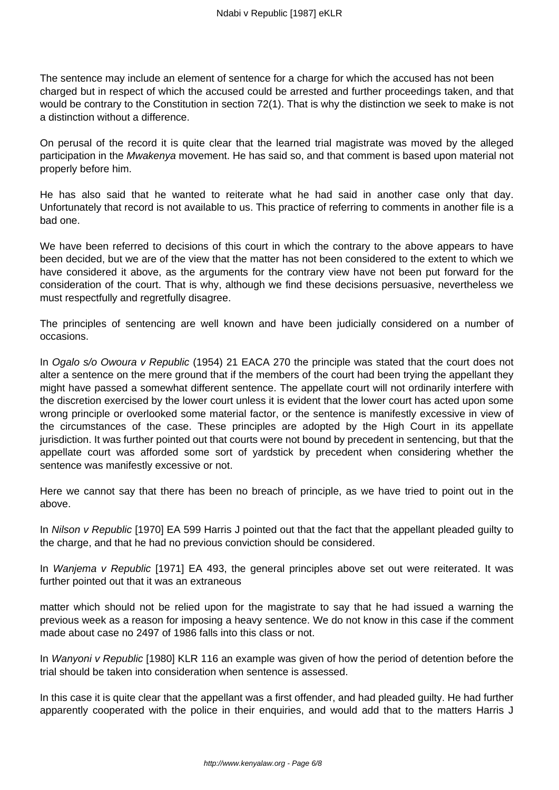The sentence may include an element of sentence for a charge for which the accused has not been charged but in respect of which the accused could be arrested and further proceedings taken, and that would be contrary to the Constitution in section 72(1). That is why the distinction we seek to make is not a distinction without a difference.

On perusal of the record it is quite clear that the learned trial magistrate was moved by the alleged participation in the Mwakenya movement. He has said so, and that comment is based upon material not properly before him.

He has also said that he wanted to reiterate what he had said in another case only that day. Unfortunately that record is not available to us. This practice of referring to comments in another file is a bad one.

We have been referred to decisions of this court in which the contrary to the above appears to have been decided, but we are of the view that the matter has not been considered to the extent to which we have considered it above, as the arguments for the contrary view have not been put forward for the consideration of the court. That is why, although we find these decisions persuasive, nevertheless we must respectfully and regretfully disagree.

The principles of sentencing are well known and have been judicially considered on a number of occasions.

In Ogalo s/o Owoura v Republic (1954) 21 EACA 270 the principle was stated that the court does not alter a sentence on the mere ground that if the members of the court had been trying the appellant they might have passed a somewhat different sentence. The appellate court will not ordinarily interfere with the discretion exercised by the lower court unless it is evident that the lower court has acted upon some wrong principle or overlooked some material factor, or the sentence is manifestly excessive in view of the circumstances of the case. These principles are adopted by the High Court in its appellate jurisdiction. It was further pointed out that courts were not bound by precedent in sentencing, but that the appellate court was afforded some sort of yardstick by precedent when considering whether the sentence was manifestly excessive or not.

Here we cannot say that there has been no breach of principle, as we have tried to point out in the above.

In Nilson v Republic [1970] EA 599 Harris J pointed out that the fact that the appellant pleaded quilty to the charge, and that he had no previous conviction should be considered.

In *Wanjema v Republic* [1971] EA 493, the general principles above set out were reiterated. It was further pointed out that it was an extraneous

matter which should not be relied upon for the magistrate to say that he had issued a warning the previous week as a reason for imposing a heavy sentence. We do not know in this case if the comment made about case no 2497 of 1986 falls into this class or not.

In Wanyoni v Republic [1980] KLR 116 an example was given of how the period of detention before the trial should be taken into consideration when sentence is assessed.

In this case it is quite clear that the appellant was a first offender, and had pleaded guilty. He had further apparently cooperated with the police in their enquiries, and would add that to the matters Harris J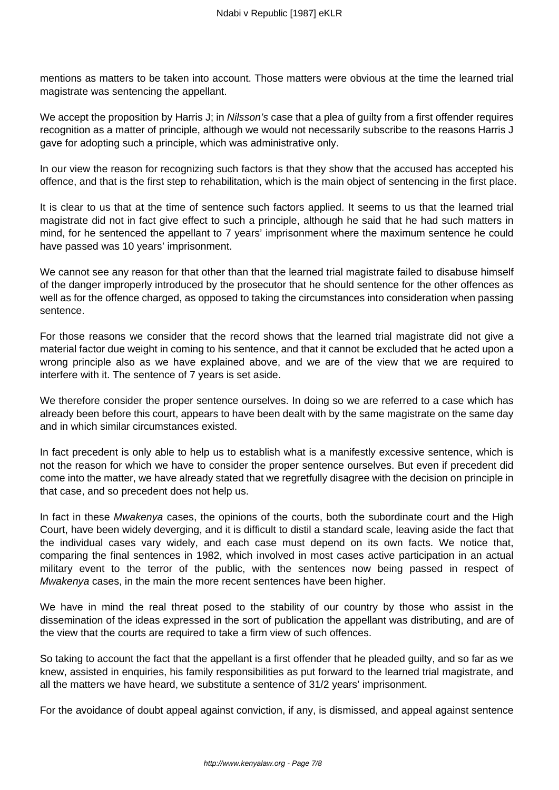mentions as matters to be taken into account. Those matters were obvious at the time the learned trial magistrate was sentencing the appellant.

We accept the proposition by Harris J; in Nilsson's case that a plea of guilty from a first offender requires recognition as a matter of principle, although we would not necessarily subscribe to the reasons Harris J gave for adopting such a principle, which was administrative only.

In our view the reason for recognizing such factors is that they show that the accused has accepted his offence, and that is the first step to rehabilitation, which is the main object of sentencing in the first place.

It is clear to us that at the time of sentence such factors applied. It seems to us that the learned trial magistrate did not in fact give effect to such a principle, although he said that he had such matters in mind, for he sentenced the appellant to 7 years' imprisonment where the maximum sentence he could have passed was 10 years' imprisonment.

We cannot see any reason for that other than that the learned trial magistrate failed to disabuse himself of the danger improperly introduced by the prosecutor that he should sentence for the other offences as well as for the offence charged, as opposed to taking the circumstances into consideration when passing sentence.

For those reasons we consider that the record shows that the learned trial magistrate did not give a material factor due weight in coming to his sentence, and that it cannot be excluded that he acted upon a wrong principle also as we have explained above, and we are of the view that we are required to interfere with it. The sentence of 7 years is set aside.

We therefore consider the proper sentence ourselves. In doing so we are referred to a case which has already been before this court, appears to have been dealt with by the same magistrate on the same day and in which similar circumstances existed.

In fact precedent is only able to help us to establish what is a manifestly excessive sentence, which is not the reason for which we have to consider the proper sentence ourselves. But even if precedent did come into the matter, we have already stated that we regretfully disagree with the decision on principle in that case, and so precedent does not help us.

In fact in these Mwakenya cases, the opinions of the courts, both the subordinate court and the High Court, have been widely deverging, and it is difficult to distil a standard scale, leaving aside the fact that the individual cases vary widely, and each case must depend on its own facts. We notice that, comparing the final sentences in 1982, which involved in most cases active participation in an actual military event to the terror of the public, with the sentences now being passed in respect of Mwakenya cases, in the main the more recent sentences have been higher.

We have in mind the real threat posed to the stability of our country by those who assist in the dissemination of the ideas expressed in the sort of publication the appellant was distributing, and are of the view that the courts are required to take a firm view of such offences.

So taking to account the fact that the appellant is a first offender that he pleaded guilty, and so far as we knew, assisted in enquiries, his family responsibilities as put forward to the learned trial magistrate, and all the matters we have heard, we substitute a sentence of 31/2 years' imprisonment.

For the avoidance of doubt appeal against conviction, if any, is dismissed, and appeal against sentence